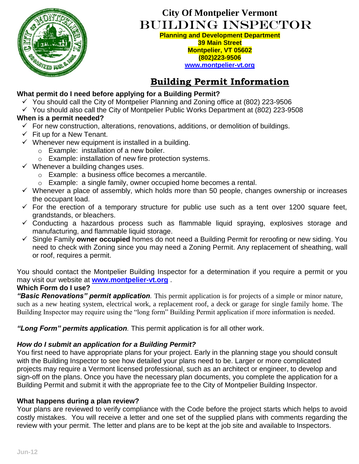

# **City Of Montpelier Vermont** Building Inspector

**Planning and Development Department 39 Main Street Montpelier, VT 05602 (802)223-9506 [www.montpelier-vt.org](http://www.montpelier-vt.org/)**

# **Building Permit Information**

## **What permit do I need before applying for a Building Permit?**

- $\checkmark$  You should call the City of Montpelier Planning and Zoning office at (802) 223-9506
- $\checkmark$  You should also call the City of Montpelier Public Works Department at (802) 223-9508

## **When is a permit needed?**

- $\checkmark$  For new construction, alterations, renovations, additions, or demolition of buildings.
- $\checkmark$  Fit up for a New Tenant.
- $\checkmark$  Whenever new equipment is installed in a building.
	- o Example: installation of a new boiler.
	- o Example: installation of new fire protection systems.
- $\checkmark$  Whenever a building changes uses.
	- o Example: a business office becomes a mercantile.
	- o Example: a single family, owner occupied home becomes a rental.
- $\checkmark$  Whenever a place of assembly, which holds more than 50 people, changes ownership or increases the occupant load.
- $\checkmark$  For the erection of a temporary structure for public use such as a tent over 1200 square feet, grandstands, or bleachers.
- $\checkmark$  Conducting a hazardous process such as flammable liquid spraying, explosives storage and manufacturing, and flammable liquid storage.
- Single Family **owner occupied** homes do not need a Building Permit for reroofing or new siding. You need to check with Zoning since you may need a Zoning Permit. Any replacement of sheathing, wall or roof, requires a permit.

You should contact the Montpelier Building Inspector for a determination if you require a permit or you may visit our website at **[www.montpelier-vt.org](http://www.montpelier-vt.org/)** .

### **Which Form do I use?**

*"Basic Renovations" permit application.* This permit application is for projects of a simple or minor nature, such as a new heating system, electrical work, a replacement roof, a deck or garage for single family home. The Building Inspector may require using the "long form" Building Permit application if more information is needed.

*"Long Form" permits application.* This permit application is for all other work.

## *How do I submit an application for a Building Permit?*

You first need to have appropriate plans for your project. Early in the planning stage you should consult with the Building Inspector to see how detailed your plans need to be. Larger or more complicated projects may require a Vermont licensed professional, such as an architect or engineer, to develop and sign-off on the plans. Once you have the necessary plan documents, you complete the application for a Building Permit and submit it with the appropriate fee to the City of Montpelier Building Inspector.

## **What happens during a plan review?**

Your plans are reviewed to verify compliance with the Code before the project starts which helps to avoid costly mistakes. You will receive a letter and one set of the supplied plans with comments regarding the review with your permit. The letter and plans are to be kept at the job site and available to Inspectors.